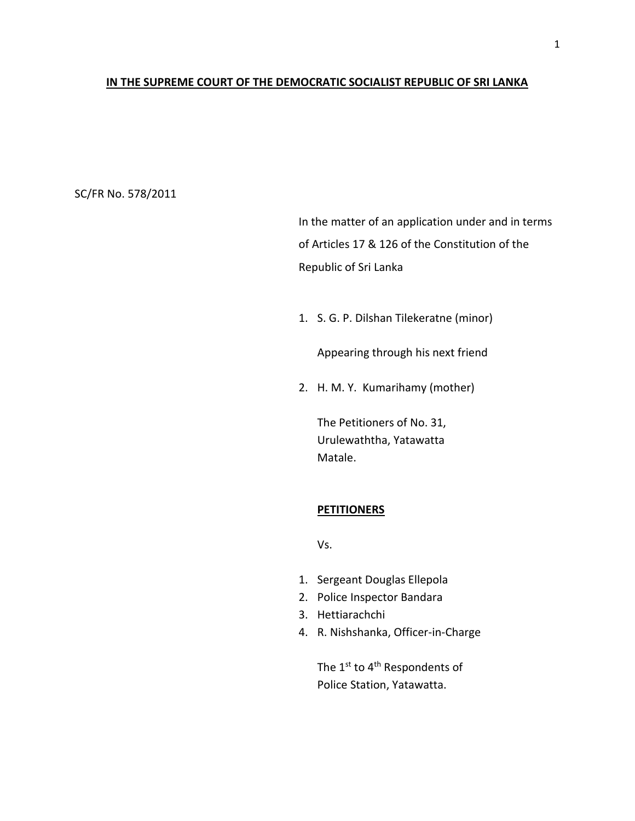#### **IN THE SUPREME COURT OF THE DEMOCRATIC SOCIALIST REPUBLIC OF SRI LANKA**

## SC/FR No. 578/2011

In the matter of an application under and in terms of Articles 17 & 126 of the Constitution of the Republic of Sri Lanka

1. S. G. P. Dilshan Tilekeratne (minor)

Appearing through his next friend

2. H. M. Y. Kumarihamy (mother)

The Petitioners of No. 31, Urulewaththa, Yatawatta Matale.

## **PETITIONERS**

Vs.

- 1. Sergeant Douglas Ellepola
- 2. Police Inspector Bandara
- 3. Hettiarachchi
- 4. R. Nishshanka, Officer-in-Charge

The 1<sup>st</sup> to 4<sup>th</sup> Respondents of Police Station, Yatawatta.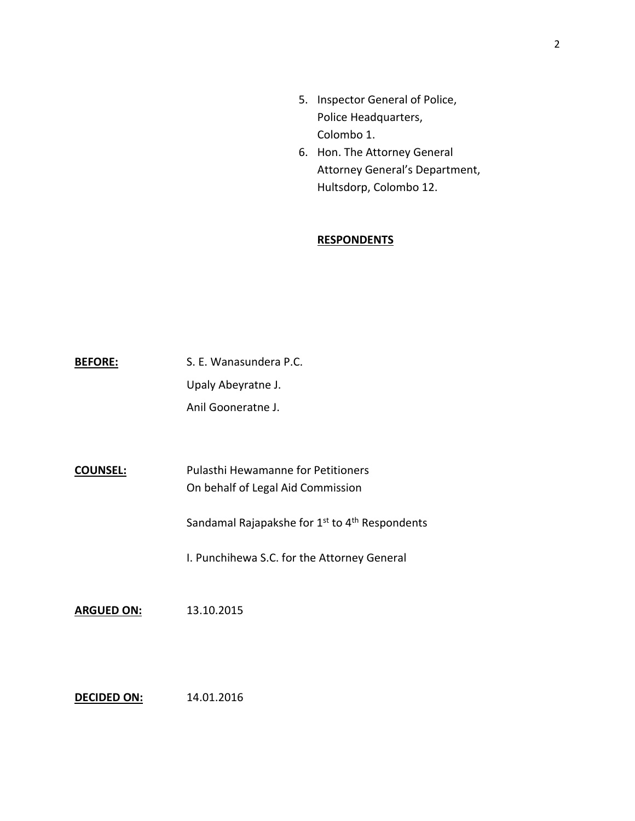- 5. Inspector General of Police, Police Headquarters, Colombo 1.
- 6. Hon. The Attorney General Attorney General's Department, Hultsdorp, Colombo 12.

# **RESPONDENTS**

BEFORE: S. E. Wanasundera P.C. Upaly Abeyratne J. Anil Gooneratne J.

**COUNSEL:** Pulasthi Hewamanne for Petitioners On behalf of Legal Aid Commission

Sandamal Rajapakshe for 1<sup>st</sup> to 4<sup>th</sup> Respondents

I. Punchihewa S.C. for the Attorney General

**ARGUED ON:** 13.10.2015

**DECIDED ON:** 14.01.2016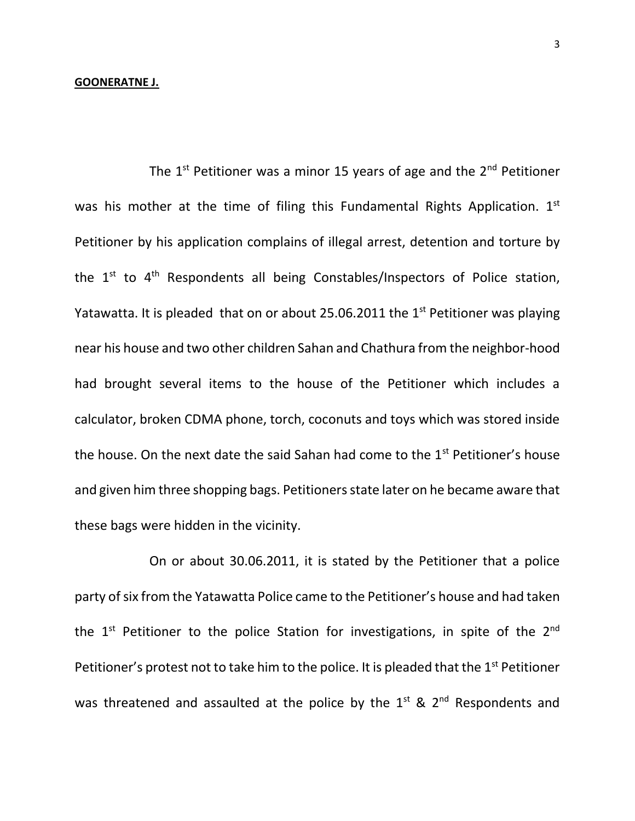#### **GOONERATNE J.**

The  $1<sup>st</sup>$  Petitioner was a minor 15 years of age and the  $2<sup>nd</sup>$  Petitioner was his mother at the time of filing this Fundamental Rights Application.  $1^{st}$ Petitioner by his application complains of illegal arrest, detention and torture by the  $1^{st}$  to  $4^{th}$  Respondents all being Constables/Inspectors of Police station, Yatawatta. It is pleaded that on or about 25.06.2011 the  $1<sup>st</sup>$  Petitioner was playing near his house and two other children Sahan and Chathura from the neighbor-hood had brought several items to the house of the Petitioner which includes a calculator, broken CDMA phone, torch, coconuts and toys which was stored inside the house. On the next date the said Sahan had come to the  $1<sup>st</sup>$  Petitioner's house and given him three shopping bags. Petitioners state later on he became aware that these bags were hidden in the vicinity.

On or about 30.06.2011, it is stated by the Petitioner that a police party of six from the Yatawatta Police came to the Petitioner's house and had taken the  $1^{st}$  Petitioner to the police Station for investigations, in spite of the  $2^{nd}$ Petitioner's protest not to take him to the police. It is pleaded that the  $1<sup>st</sup>$  Petitioner was threatened and assaulted at the police by the  $1^{st}$  &  $2^{nd}$  Respondents and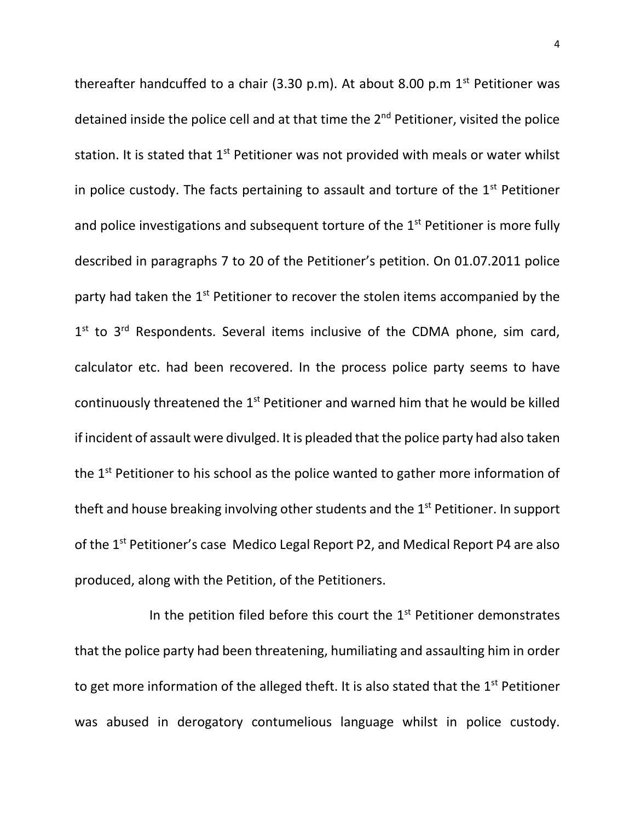thereafter handcuffed to a chair (3.30 p.m). At about 8.00 p.m  $1<sup>st</sup>$  Petitioner was detained inside the police cell and at that time the 2<sup>nd</sup> Petitioner, visited the police station. It is stated that 1<sup>st</sup> Petitioner was not provided with meals or water whilst in police custody. The facts pertaining to assault and torture of the  $1<sup>st</sup>$  Petitioner and police investigations and subsequent torture of the 1<sup>st</sup> Petitioner is more fully described in paragraphs 7 to 20 of the Petitioner's petition. On 01.07.2011 police party had taken the 1<sup>st</sup> Petitioner to recover the stolen items accompanied by the 1<sup>st</sup> to 3<sup>rd</sup> Respondents. Several items inclusive of the CDMA phone, sim card, calculator etc. had been recovered. In the process police party seems to have continuously threatened the  $1<sup>st</sup>$  Petitioner and warned him that he would be killed if incident of assault were divulged. It is pleaded that the police party had also taken the 1<sup>st</sup> Petitioner to his school as the police wanted to gather more information of theft and house breaking involving other students and the 1<sup>st</sup> Petitioner. In support of the 1<sup>st</sup> Petitioner's case Medico Legal Report P2, and Medical Report P4 are also produced, along with the Petition, of the Petitioners.

In the petition filed before this court the  $1<sup>st</sup>$  Petitioner demonstrates that the police party had been threatening, humiliating and assaulting him in order to get more information of the alleged theft. It is also stated that the 1<sup>st</sup> Petitioner was abused in derogatory contumelious language whilst in police custody.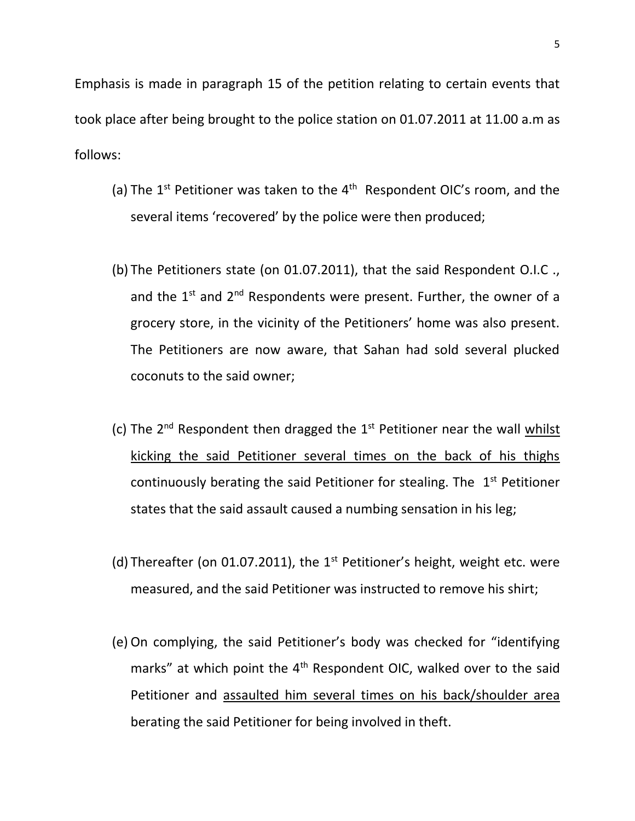Emphasis is made in paragraph 15 of the petition relating to certain events that took place after being brought to the police station on 01.07.2011 at 11.00 a.m as follows:

- (a) The  $1^{st}$  Petitioner was taken to the  $4^{th}$  Respondent OIC's room, and the several items 'recovered' by the police were then produced;
- (b) The Petitioners state (on 01.07.2011), that the said Respondent O.I.C ., and the  $1^{st}$  and  $2^{nd}$  Respondents were present. Further, the owner of a grocery store, in the vicinity of the Petitioners' home was also present. The Petitioners are now aware, that Sahan had sold several plucked coconuts to the said owner;
- (c) The  $2^{nd}$  Respondent then dragged the  $1^{st}$  Petitioner near the wall  $whilst$ </u> kicking the said Petitioner several times on the back of his thighs continuously berating the said Petitioner for stealing. The  $1<sup>st</sup>$  Petitioner states that the said assault caused a numbing sensation in his leg;
- (d) Thereafter (on 01.07.2011), the  $1<sup>st</sup>$  Petitioner's height, weight etc. were measured, and the said Petitioner was instructed to remove his shirt;
- (e) On complying, the said Petitioner's body was checked for "identifying marks" at which point the  $4<sup>th</sup>$  Respondent OIC, walked over to the said Petitioner and assaulted him several times on his back/shoulder area berating the said Petitioner for being involved in theft.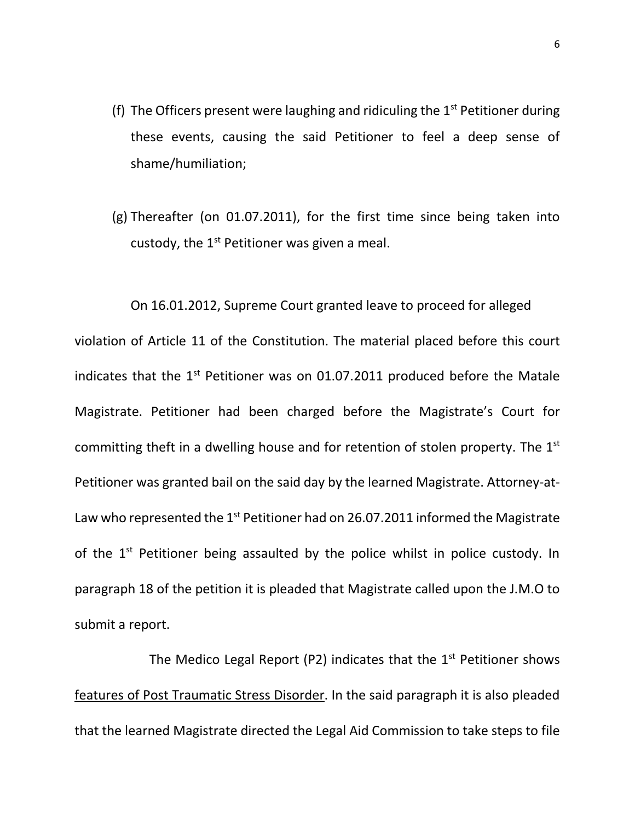- (f) The Officers present were laughing and ridiculing the  $1<sup>st</sup>$  Petitioner during these events, causing the said Petitioner to feel a deep sense of shame/humiliation;
- (g) Thereafter (on 01.07.2011), for the first time since being taken into custody, the 1<sup>st</sup> Petitioner was given a meal.

On 16.01.2012, Supreme Court granted leave to proceed for alleged violation of Article 11 of the Constitution. The material placed before this court indicates that the  $1<sup>st</sup>$  Petitioner was on 01.07.2011 produced before the Matale Magistrate. Petitioner had been charged before the Magistrate's Court for committing theft in a dwelling house and for retention of stolen property. The 1<sup>st</sup> Petitioner was granted bail on the said day by the learned Magistrate. Attorney-at-Law who represented the  $1^{st}$  Petitioner had on 26.07.2011 informed the Magistrate of the 1<sup>st</sup> Petitioner being assaulted by the police whilst in police custody. In paragraph 18 of the petition it is pleaded that Magistrate called upon the J.M.O to submit a report.

The Medico Legal Report (P2) indicates that the  $1<sup>st</sup>$  Petitioner shows features of Post Traumatic Stress Disorder. In the said paragraph it is also pleaded that the learned Magistrate directed the Legal Aid Commission to take steps to file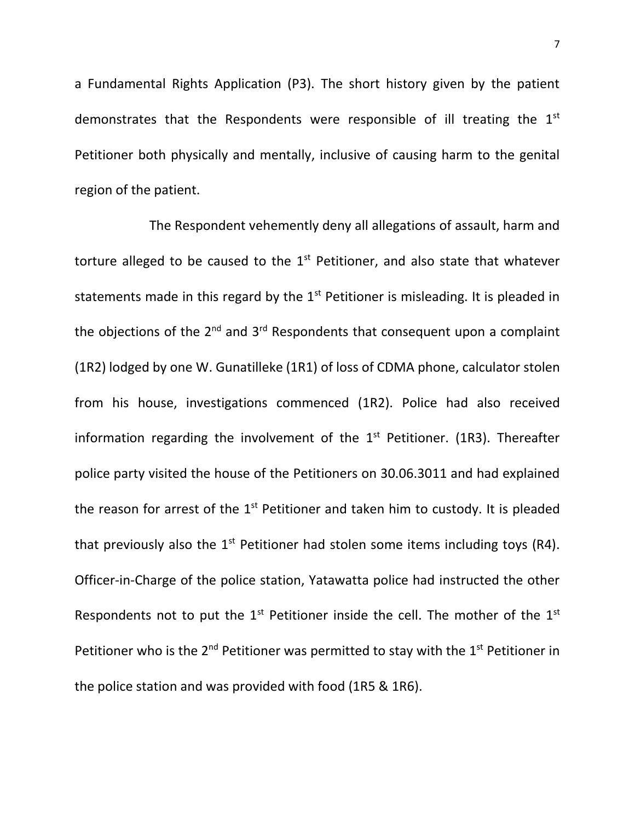a Fundamental Rights Application (P3). The short history given by the patient demonstrates that the Respondents were responsible of ill treating the  $1<sup>st</sup>$ Petitioner both physically and mentally, inclusive of causing harm to the genital region of the patient.

The Respondent vehemently deny all allegations of assault, harm and torture alleged to be caused to the  $1<sup>st</sup>$  Petitioner, and also state that whatever statements made in this regard by the  $1<sup>st</sup>$  Petitioner is misleading. It is pleaded in the objections of the  $2^{nd}$  and  $3^{rd}$  Respondents that consequent upon a complaint (1R2) lodged by one W. Gunatilleke (1R1) of loss of CDMA phone, calculator stolen from his house, investigations commenced (1R2). Police had also received information regarding the involvement of the  $1<sup>st</sup>$  Petitioner. (1R3). Thereafter police party visited the house of the Petitioners on 30.06.3011 and had explained the reason for arrest of the  $1<sup>st</sup>$  Petitioner and taken him to custody. It is pleaded that previously also the  $1<sup>st</sup>$  Petitioner had stolen some items including toys (R4). Officer-in-Charge of the police station, Yatawatta police had instructed the other Respondents not to put the  $1<sup>st</sup>$  Petitioner inside the cell. The mother of the  $1<sup>st</sup>$ Petitioner who is the  $2^{nd}$  Petitioner was permitted to stay with the  $1^{st}$  Petitioner in the police station and was provided with food (1R5 & 1R6).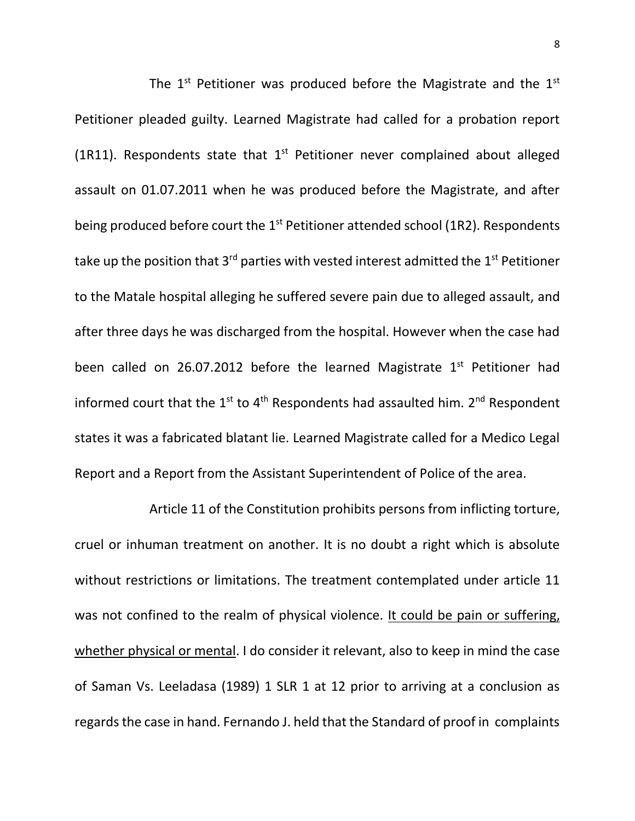The  $1^{st}$  Petitioner was produced before the Magistrate and the  $1^{st}$ Petitioner pleaded guilty. Learned Magistrate had called for a probation report (1R11). Respondents state that  $1<sup>st</sup>$  Petitioner never complained about alleged assault on 01.07.2011 when he was produced before the Magistrate, and after being produced before court the 1<sup>st</sup> Petitioner attended school (1R2). Respondents take up the position that  $3^{rd}$  parties with vested interest admitted the  $1^{st}$  Petitioner to the Matale hospital alleging he suffered severe pain due to alleged assault, and after three days he was discharged from the hospital. However when the case had been called on 26.07.2012 before the learned Magistrate  $1<sup>st</sup>$  Petitioner had informed court that the  $1^{st}$  to  $4^{th}$  Respondents had assaulted him.  $2^{nd}$  Respondent states it was a fabricated blatant lie. Learned Magistrate called for a Medico Legal Report and a Report from the Assistant Superintendent of Police of the area.

Article 11 of the Constitution prohibits persons from inflicting torture, cruel or inhuman treatment on another. It is no doubt a right which is absolute without restrictions or limitations. The treatment contemplated under article 11 was not confined to the realm of physical violence. It could be pain or suffering, whether physical or mental. I do consider it relevant, also to keep in mind the case of Saman Vs. Leeladasa (1989) 1 SLR 1 at 12 prior to arriving at a conclusion as regards the case in hand. Fernando J. held that the Standard of proof in complaints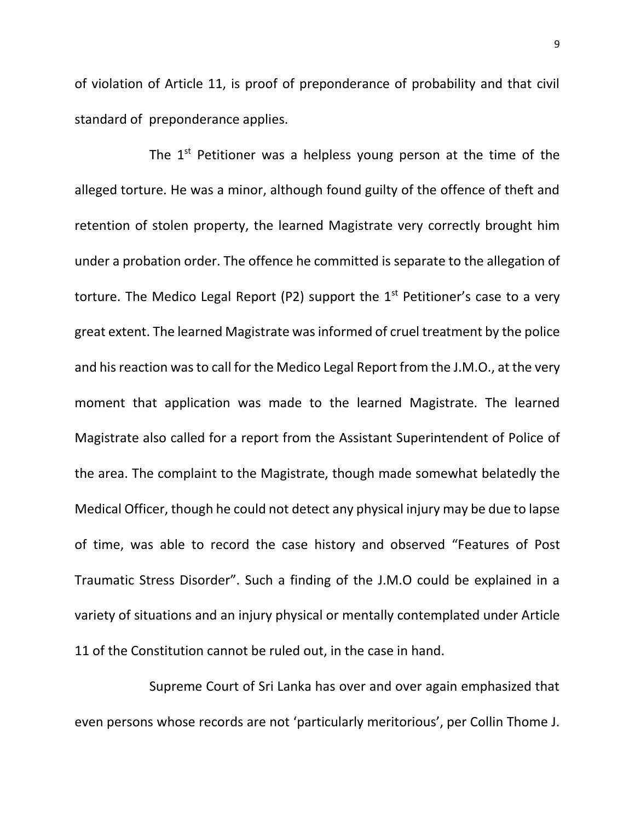of violation of Article 11, is proof of preponderance of probability and that civil standard of preponderance applies.

The  $1<sup>st</sup>$  Petitioner was a helpless young person at the time of the alleged torture. He was a minor, although found guilty of the offence of theft and retention of stolen property, the learned Magistrate very correctly brought him under a probation order. The offence he committed is separate to the allegation of torture. The Medico Legal Report (P2) support the  $1<sup>st</sup>$  Petitioner's case to a very great extent. The learned Magistrate was informed of cruel treatment by the police and his reaction was to call for the Medico Legal Report from the J.M.O., at the very moment that application was made to the learned Magistrate. The learned Magistrate also called for a report from the Assistant Superintendent of Police of the area. The complaint to the Magistrate, though made somewhat belatedly the Medical Officer, though he could not detect any physical injury may be due to lapse of time, was able to record the case history and observed "Features of Post Traumatic Stress Disorder". Such a finding of the J.M.O could be explained in a variety of situations and an injury physical or mentally contemplated under Article 11 of the Constitution cannot be ruled out, in the case in hand.

Supreme Court of Sri Lanka has over and over again emphasized that even persons whose records are not 'particularly meritorious', per Collin Thome J.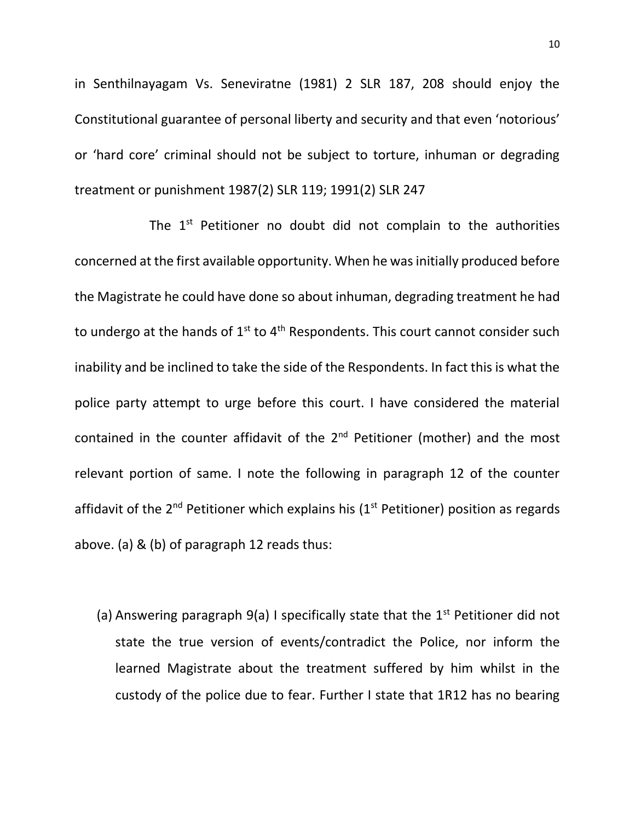in Senthilnayagam Vs. Seneviratne (1981) 2 SLR 187, 208 should enjoy the Constitutional guarantee of personal liberty and security and that even 'notorious' or 'hard core' criminal should not be subject to torture, inhuman or degrading treatment or punishment 1987(2) SLR 119; 1991(2) SLR 247

The  $1<sup>st</sup>$  Petitioner no doubt did not complain to the authorities concerned at the first available opportunity. When he was initially produced before the Magistrate he could have done so about inhuman, degrading treatment he had to undergo at the hands of  $1^{st}$  to  $4^{th}$  Respondents. This court cannot consider such inability and be inclined to take the side of the Respondents. In fact this is what the police party attempt to urge before this court. I have considered the material contained in the counter affidavit of the  $2<sup>nd</sup>$  Petitioner (mother) and the most relevant portion of same. I note the following in paragraph 12 of the counter affidavit of the  $2^{nd}$  Petitioner which explains his ( $1^{st}$  Petitioner) position as regards above. (a) & (b) of paragraph 12 reads thus:

(a) Answering paragraph  $9(a)$  I specifically state that the  $1<sup>st</sup>$  Petitioner did not state the true version of events/contradict the Police, nor inform the learned Magistrate about the treatment suffered by him whilst in the custody of the police due to fear. Further I state that 1R12 has no bearing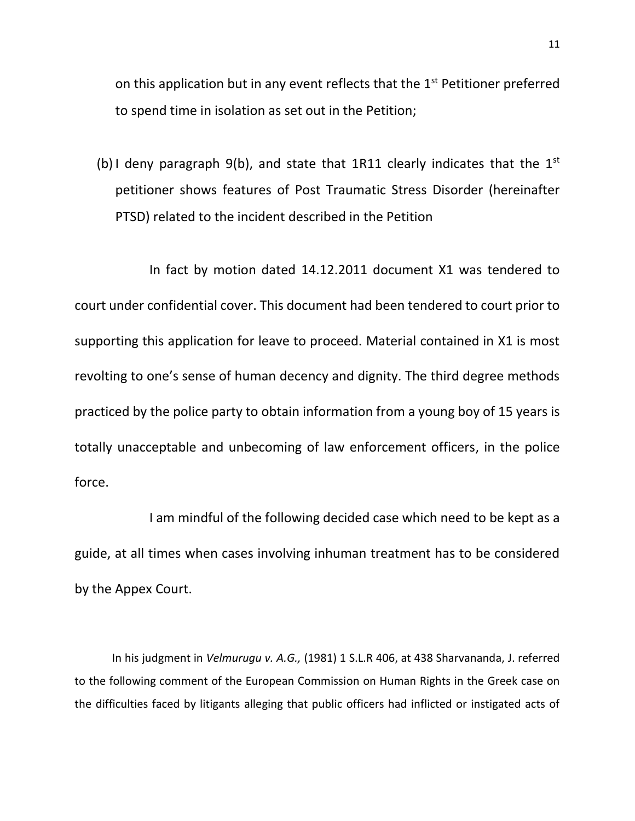on this application but in any event reflects that the  $1<sup>st</sup>$  Petitioner preferred to spend time in isolation as set out in the Petition;

(b) I deny paragraph 9(b), and state that 1R11 clearly indicates that the  $1^{st}$ petitioner shows features of Post Traumatic Stress Disorder (hereinafter PTSD) related to the incident described in the Petition

In fact by motion dated 14.12.2011 document X1 was tendered to court under confidential cover. This document had been tendered to court prior to supporting this application for leave to proceed. Material contained in X1 is most revolting to one's sense of human decency and dignity. The third degree methods practiced by the police party to obtain information from a young boy of 15 years is totally unacceptable and unbecoming of law enforcement officers, in the police force.

I am mindful of the following decided case which need to be kept as a guide, at all times when cases involving inhuman treatment has to be considered by the Appex Court.

In his judgment in *Velmurugu v. A.G.,* (1981) 1 S.L.R 406, at 438 Sharvananda, J. referred to the following comment of the European Commission on Human Rights in the Greek case on the difficulties faced by litigants alleging that public officers had inflicted or instigated acts of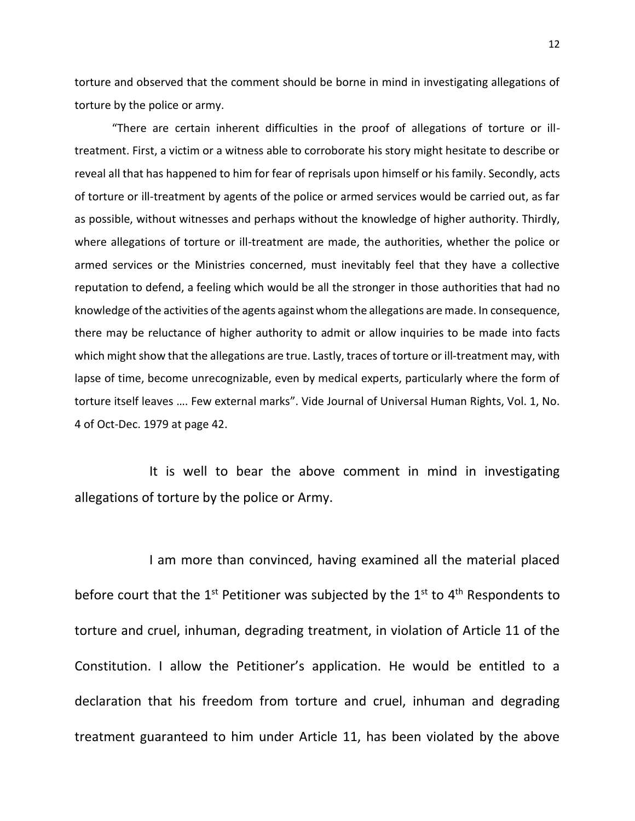torture and observed that the comment should be borne in mind in investigating allegations of torture by the police or army.

"There are certain inherent difficulties in the proof of allegations of torture or illtreatment. First, a victim or a witness able to corroborate his story might hesitate to describe or reveal all that has happened to him for fear of reprisals upon himself or his family. Secondly, acts of torture or ill-treatment by agents of the police or armed services would be carried out, as far as possible, without witnesses and perhaps without the knowledge of higher authority. Thirdly, where allegations of torture or ill-treatment are made, the authorities, whether the police or armed services or the Ministries concerned, must inevitably feel that they have a collective reputation to defend, a feeling which would be all the stronger in those authorities that had no knowledge of the activities of the agents against whom the allegations are made. In consequence, there may be reluctance of higher authority to admit or allow inquiries to be made into facts which might show that the allegations are true. Lastly, traces of torture or ill-treatment may, with lapse of time, become unrecognizable, even by medical experts, particularly where the form of torture itself leaves …. Few external marks". Vide Journal of Universal Human Rights, Vol. 1, No. 4 of Oct-Dec. 1979 at page 42.

It is well to bear the above comment in mind in investigating allegations of torture by the police or Army.

I am more than convinced, having examined all the material placed before court that the  $1^{st}$  Petitioner was subjected by the  $1^{st}$  to  $4^{th}$  Respondents to torture and cruel, inhuman, degrading treatment, in violation of Article 11 of the Constitution. I allow the Petitioner's application. He would be entitled to a declaration that his freedom from torture and cruel, inhuman and degrading treatment guaranteed to him under Article 11, has been violated by the above